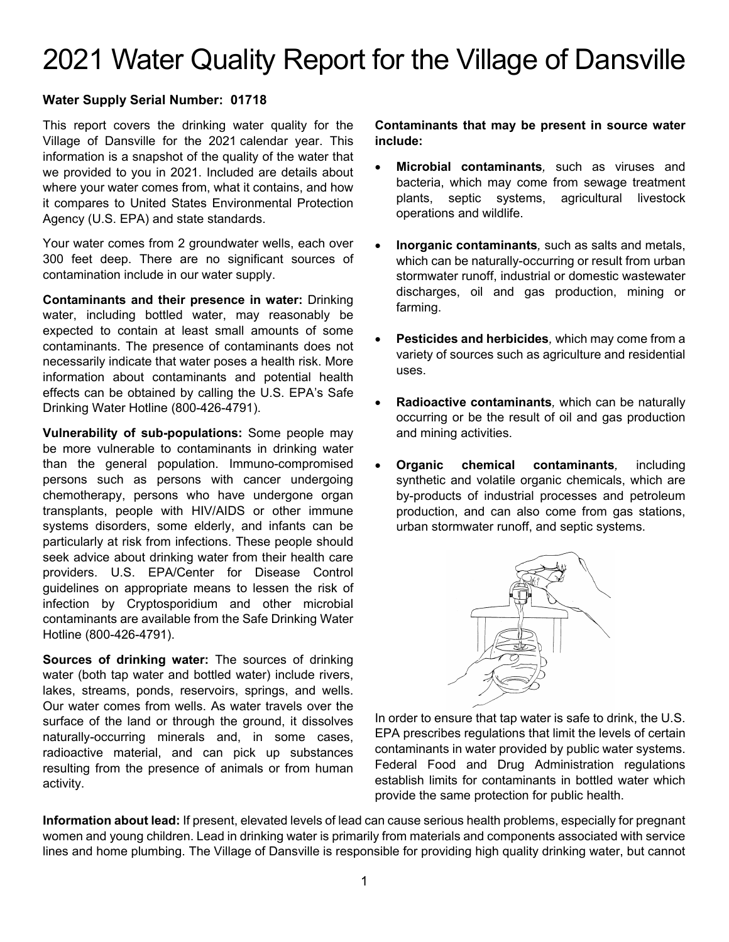# 2021 Water Quality Report for the Village of Dansville

#### **Water Supply Serial Number: 01718**

This report covers the drinking water quality for the Village of Dansville for the 2021 calendar year. This information is a snapshot of the quality of the water that we provided to you in 2021. Included are details about where your water comes from, what it contains, and how it compares to United States Environmental Protection Agency (U.S. EPA) and state standards.

Your water comes from 2 groundwater wells, each over 300 feet deep. There are no significant sources of contamination include in our water supply.

**Contaminants and their presence in water:** Drinking water, including bottled water, may reasonably be expected to contain at least small amounts of some contaminants. The presence of contaminants does not necessarily indicate that water poses a health risk. More information about contaminants and potential health effects can be obtained by calling the U.S. EPA's Safe Drinking Water Hotline (800-426-4791).

**Vulnerability of sub-populations:** Some people may be more vulnerable to contaminants in drinking water than the general population. Immuno-compromised persons such as persons with cancer undergoing chemotherapy, persons who have undergone organ transplants, people with HIV/AIDS or other immune systems disorders, some elderly, and infants can be particularly at risk from infections. These people should seek advice about drinking water from their health care providers. U.S. EPA/Center for Disease Control guidelines on appropriate means to lessen the risk of infection by Cryptosporidium and other microbial contaminants are available from the Safe Drinking Water Hotline (800-426-4791).

**Sources of drinking water:** The sources of drinking water (both tap water and bottled water) include rivers, lakes, streams, ponds, reservoirs, springs, and wells. Our water comes from wells. As water travels over the surface of the land or through the ground, it dissolves naturally-occurring minerals and, in some cases, radioactive material, and can pick up substances resulting from the presence of animals or from human activity.

#### **Contaminants that may be present in source water include:**

- **Microbial contaminants***,* such as viruses and bacteria, which may come from sewage treatment plants, septic systems, agricultural livestock operations and wildlife.
- **Inorganic contaminants***,* such as salts and metals, which can be naturally-occurring or result from urban stormwater runoff, industrial or domestic wastewater discharges, oil and gas production, mining or farming.
- **Pesticides and herbicides***,* which may come from a variety of sources such as agriculture and residential uses.
- **Radioactive contaminants***,* which can be naturally occurring or be the result of oil and gas production and mining activities.
- **Organic chemical contaminants***,* including synthetic and volatile organic chemicals, which are by-products of industrial processes and petroleum production, and can also come from gas stations, urban stormwater runoff, and septic systems.



In order to ensure that tap water is safe to drink, the U.S. EPA prescribes regulations that limit the levels of certain contaminants in water provided by public water systems. Federal Food and Drug Administration regulations establish limits for contaminants in bottled water which provide the same protection for public health.

**Information about lead:** If present, elevated levels of lead can cause serious health problems, especially for pregnant women and young children. Lead in drinking water is primarily from materials and components associated with service lines and home plumbing. The Village of Dansville is responsible for providing high quality drinking water, but cannot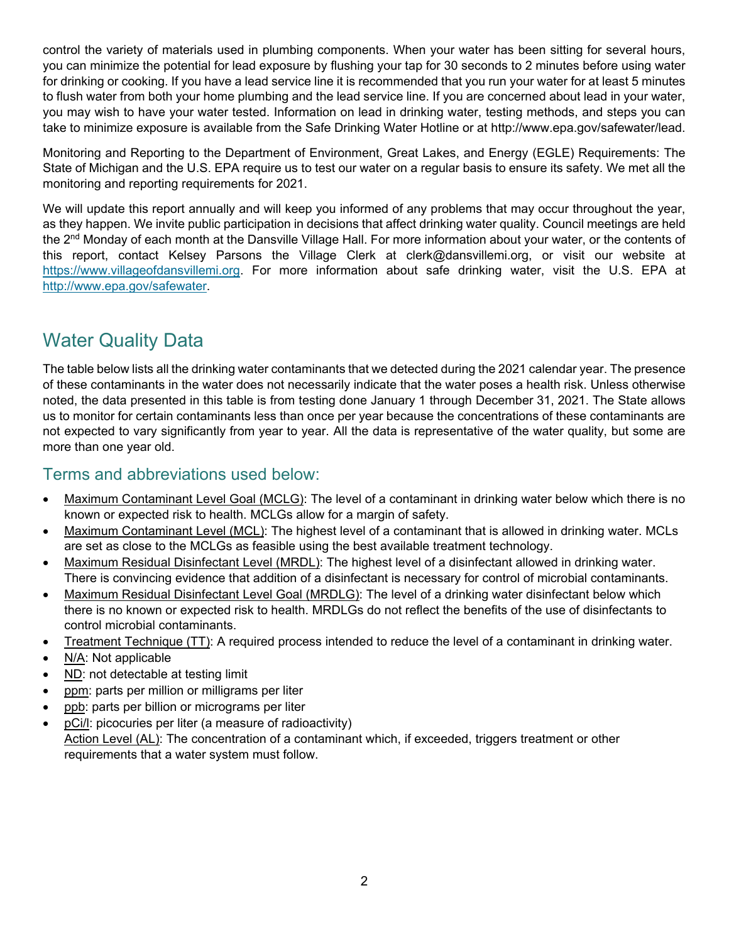control the variety of materials used in plumbing components. When your water has been sitting for several hours, you can minimize the potential for lead exposure by flushing your tap for 30 seconds to 2 minutes before using water for drinking or cooking. If you have a lead service line it is recommended that you run your water for at least 5 minutes to flush water from both your home plumbing and the lead service line. If you are concerned about lead in your water, you may wish to have your water tested. Information on lead in drinking water, testing methods, and steps you can take to minimize exposure is available from the Safe Drinking Water Hotline or at http://www.epa.gov/safewater/lead.

Monitoring and Reporting to the Department of Environment, Great Lakes, and Energy (EGLE) Requirements: The State of Michigan and the U.S. EPA require us to test our water on a regular basis to ensure its safety. We met all the monitoring and reporting requirements for 2021.

We will update this report annually and will keep you informed of any problems that may occur throughout the year, as they happen. We invite public participation in decisions that affect drinking water quality. Council meetings are held the 2<sup>nd</sup> Monday of each month at the Dansville Village Hall. For more information about your water, or the contents of this report, contact Kelsey Parsons the Village Clerk at clerk@dansvillemi.org, or visit our website at [https://www.villageofdansvillemi.org.](https://www.villageofdansvillemi.org/) For more information about safe drinking water, visit the U.S. EPA at [http://www.epa.gov/safewater.](http://www.epa.gov/safewater)

## Water Quality Data

The table below lists all the drinking water contaminants that we detected during the 2021 calendar year. The presence of these contaminants in the water does not necessarily indicate that the water poses a health risk. Unless otherwise noted, the data presented in this table is from testing done January 1 through December 31, 2021. The State allows us to monitor for certain contaminants less than once per year because the concentrations of these contaminants are not expected to vary significantly from year to year. All the data is representative of the water quality, but some are more than one year old.

### Terms and abbreviations used below:

- Maximum Contaminant Level Goal (MCLG): The level of a contaminant in drinking water below which there is no known or expected risk to health. MCLGs allow for a margin of safety.
- Maximum Contaminant Level (MCL): The highest level of a contaminant that is allowed in drinking water. MCLs are set as close to the MCLGs as feasible using the best available treatment technology.
- Maximum Residual Disinfectant Level (MRDL): The highest level of a disinfectant allowed in drinking water. There is convincing evidence that addition of a disinfectant is necessary for control of microbial contaminants.
- Maximum Residual Disinfectant Level Goal (MRDLG): The level of a drinking water disinfectant below which there is no known or expected risk to health. MRDLGs do not reflect the benefits of the use of disinfectants to control microbial contaminants.
- Treatment Technique (TT): A required process intended to reduce the level of a contaminant in drinking water.
- N/A: Not applicable
- ND: not detectable at testing limit
- ppm: parts per million or milligrams per liter
- ppb: parts per billion or micrograms per liter
- pCi/l: picocuries per liter (a measure of radioactivity) Action Level (AL): The concentration of a contaminant which, if exceeded, triggers treatment or other requirements that a water system must follow.